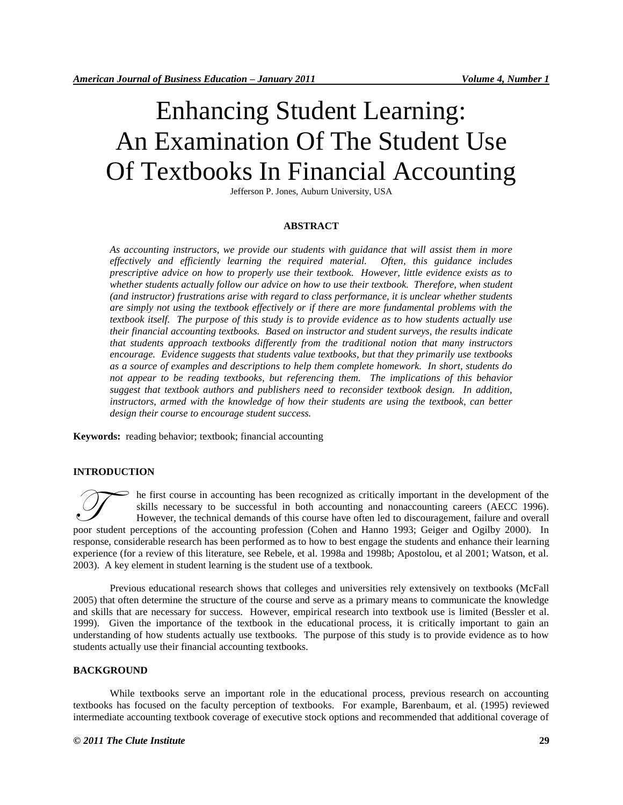# Enhancing Student Learning: An Examination Of The Student Use Of Textbooks In Financial Accounting

Jefferson P. Jones, Auburn University, USA

#### **ABSTRACT**

*As accounting instructors, we provide our students with guidance that will assist them in more effectively and efficiently learning the required material. Often, this guidance includes prescriptive advice on how to properly use their textbook. However, little evidence exists as to whether students actually follow our advice on how to use their textbook. Therefore, when student (and instructor) frustrations arise with regard to class performance, it is unclear whether students are simply not using the textbook effectively or if there are more fundamental problems with the textbook itself. The purpose of this study is to provide evidence as to how students actually use their financial accounting textbooks. Based on instructor and student surveys, the results indicate that students approach textbooks differently from the traditional notion that many instructors encourage. Evidence suggests that students value textbooks, but that they primarily use textbooks as a source of examples and descriptions to help them complete homework. In short, students do*  not appear to be reading textbooks, but referencing them. The implications of this behavior *suggest that textbook authors and publishers need to reconsider textbook design. In addition, instructors, armed with the knowledge of how their students are using the textbook, can better design their course to encourage student success.*

**Keywords:** reading behavior; textbook; financial accounting

### **INTRODUCTION**

he first course in accounting has been recognized as critically important in the development of the skills necessary to be successful in both accounting and nonaccounting careers (AECC 1996). However, the technical demands of this course have often led to discouragement, failure and overall **Poor Student perceptions of the accounting has been recognized as critically important in the development of the skills necessary to be successful in both accounting and nonaccounting careers (AECC 1996). However, the tec** response, considerable research has been performed as to how to best engage the students and enhance their learning experience (for a review of this literature, see Rebele, et al. 1998a and 1998b; Apostolou, et al 2001; Watson, et al. 2003). A key element in student learning is the student use of a textbook.

Previous educational research shows that colleges and universities rely extensively on textbooks (McFall 2005) that often determine the structure of the course and serve as a primary means to communicate the knowledge and skills that are necessary for success. However, empirical research into textbook use is limited (Bessler et al. 1999). Given the importance of the textbook in the educational process, it is critically important to gain an understanding of how students actually use textbooks. The purpose of this study is to provide evidence as to how students actually use their financial accounting textbooks.

#### **BACKGROUND**

While textbooks serve an important role in the educational process, previous research on accounting textbooks has focused on the faculty perception of textbooks. For example, Barenbaum, et al. (1995) reviewed intermediate accounting textbook coverage of executive stock options and recommended that additional coverage of

#### *© 2011 The Clute Institute* **29**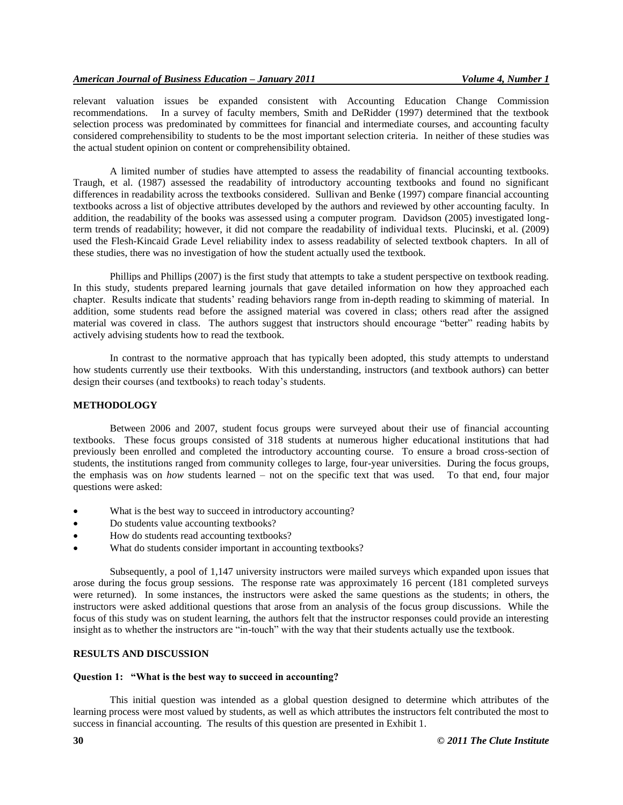relevant valuation issues be expanded consistent with Accounting Education Change Commission recommendations. In a survey of faculty members, Smith and DeRidder (1997) determined that the textbook selection process was predominated by committees for financial and intermediate courses, and accounting faculty considered comprehensibility to students to be the most important selection criteria. In neither of these studies was the actual student opinion on content or comprehensibility obtained.

A limited number of studies have attempted to assess the readability of financial accounting textbooks. Traugh, et al. (1987) assessed the readability of introductory accounting textbooks and found no significant differences in readability across the textbooks considered. Sullivan and Benke (1997) compare financial accounting textbooks across a list of objective attributes developed by the authors and reviewed by other accounting faculty. In addition, the readability of the books was assessed using a computer program. Davidson (2005) investigated longterm trends of readability; however, it did not compare the readability of individual texts. Plucinski, et al. (2009) used the Flesh-Kincaid Grade Level reliability index to assess readability of selected textbook chapters. In all of these studies, there was no investigation of how the student actually used the textbook.

Phillips and Phillips (2007) is the first study that attempts to take a student perspective on textbook reading. In this study, students prepared learning journals that gave detailed information on how they approached each chapter. Results indicate that students' reading behaviors range from in-depth reading to skimming of material. In addition, some students read before the assigned material was covered in class; others read after the assigned material was covered in class. The authors suggest that instructors should encourage "better" reading habits by actively advising students how to read the textbook.

In contrast to the normative approach that has typically been adopted, this study attempts to understand how students currently use their textbooks. With this understanding, instructors (and textbook authors) can better design their courses (and textbooks) to reach today's students.

#### **METHODOLOGY**

Between 2006 and 2007, student focus groups were surveyed about their use of financial accounting textbooks. These focus groups consisted of 318 students at numerous higher educational institutions that had previously been enrolled and completed the introductory accounting course. To ensure a broad cross-section of students, the institutions ranged from community colleges to large, four-year universities. During the focus groups, the emphasis was on *how* students learned – not on the specific text that was used. To that end, four major questions were asked:

- What is the best way to succeed in introductory accounting?
- Do students value accounting textbooks?
- How do students read accounting textbooks?
- What do students consider important in accounting textbooks?

Subsequently, a pool of 1,147 university instructors were mailed surveys which expanded upon issues that arose during the focus group sessions. The response rate was approximately 16 percent (181 completed surveys were returned). In some instances, the instructors were asked the same questions as the students; in others, the instructors were asked additional questions that arose from an analysis of the focus group discussions. While the focus of this study was on student learning, the authors felt that the instructor responses could provide an interesting insight as to whether the instructors are "in-touch" with the way that their students actually use the textbook.

# **RESULTS AND DISCUSSION**

# **Question 1: "What is the best way to succeed in accounting?**

This initial question was intended as a global question designed to determine which attributes of the learning process were most valued by students, as well as which attributes the instructors felt contributed the most to success in financial accounting. The results of this question are presented in Exhibit 1.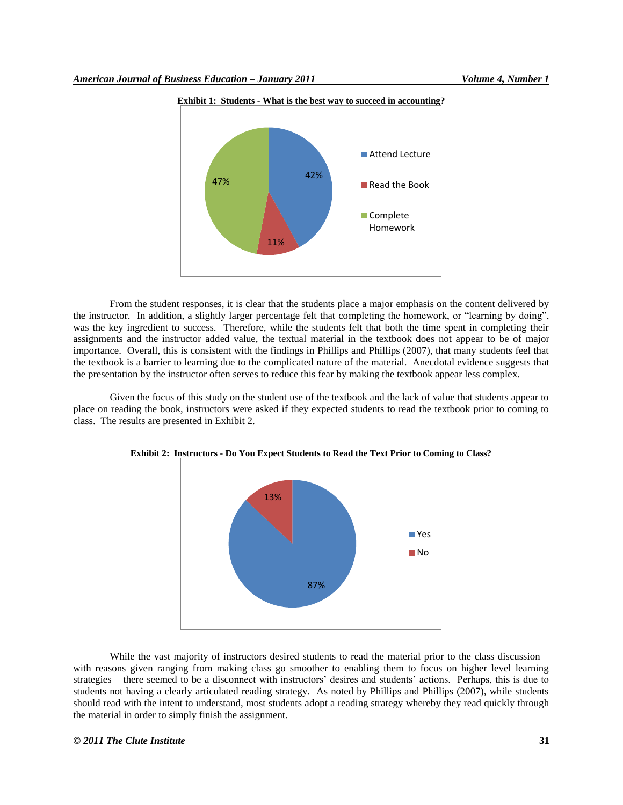

**Exhibit 1: Students - What is the best way to succeed in accounting?**

From the student responses, it is clear that the students place a major emphasis on the content delivered by the instructor. In addition, a slightly larger percentage felt that completing the homework, or "learning by doing", was the key ingredient to success. Therefore, while the students felt that both the time spent in completing their assignments and the instructor added value, the textual material in the textbook does not appear to be of major importance. Overall, this is consistent with the findings in Phillips and Phillips (2007), that many students feel that the textbook is a barrier to learning due to the complicated nature of the material. Anecdotal evidence suggests that the presentation by the instructor often serves to reduce this fear by making the textbook appear less complex.

Given the focus of this study on the student use of the textbook and the lack of value that students appear to place on reading the book, instructors were asked if they expected students to read the textbook prior to coming to class. The results are presented in Exhibit 2.



**Exhibit 2: Instructors - Do You Expect Students to Read the Text Prior to Coming to Class?**

While the vast majority of instructors desired students to read the material prior to the class discussion – with reasons given ranging from making class go smoother to enabling them to focus on higher level learning strategies – there seemed to be a disconnect with instructors' desires and students' actions. Perhaps, this is due to students not having a clearly articulated reading strategy. As noted by Phillips and Phillips (2007), while students should read with the intent to understand, most students adopt a reading strategy whereby they read quickly through the material in order to simply finish the assignment.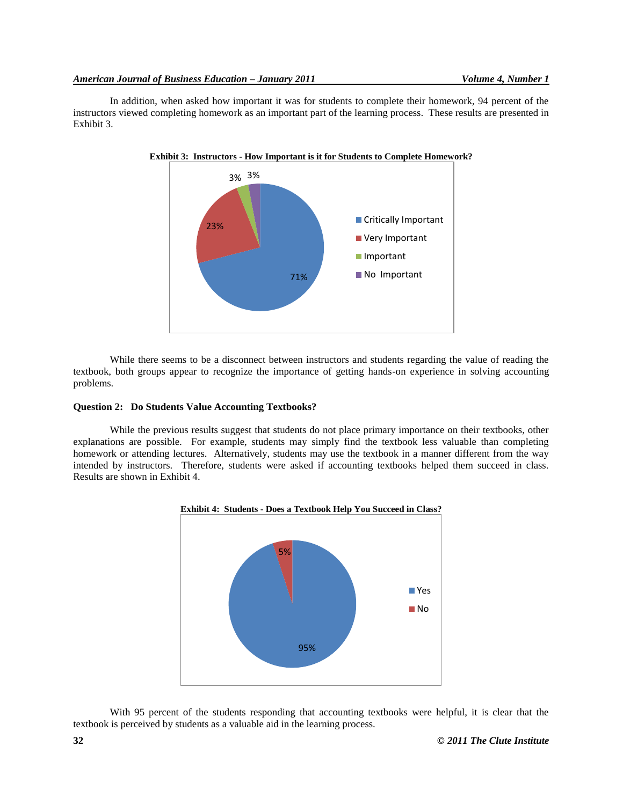In addition, when asked how important it was for students to complete their homework, 94 percent of the instructors viewed completing homework as an important part of the learning process. These results are presented in Exhibit 3.



While there seems to be a disconnect between instructors and students regarding the value of reading the textbook, both groups appear to recognize the importance of getting hands-on experience in solving accounting problems.

### **Question 2: Do Students Value Accounting Textbooks?**

While the previous results suggest that students do not place primary importance on their textbooks, other explanations are possible. For example, students may simply find the textbook less valuable than completing homework or attending lectures. Alternatively, students may use the textbook in a manner different from the way intended by instructors. Therefore, students were asked if accounting textbooks helped them succeed in class. Results are shown in Exhibit 4.



With 95 percent of the students responding that accounting textbooks were helpful, it is clear that the textbook is perceived by students as a valuable aid in the learning process.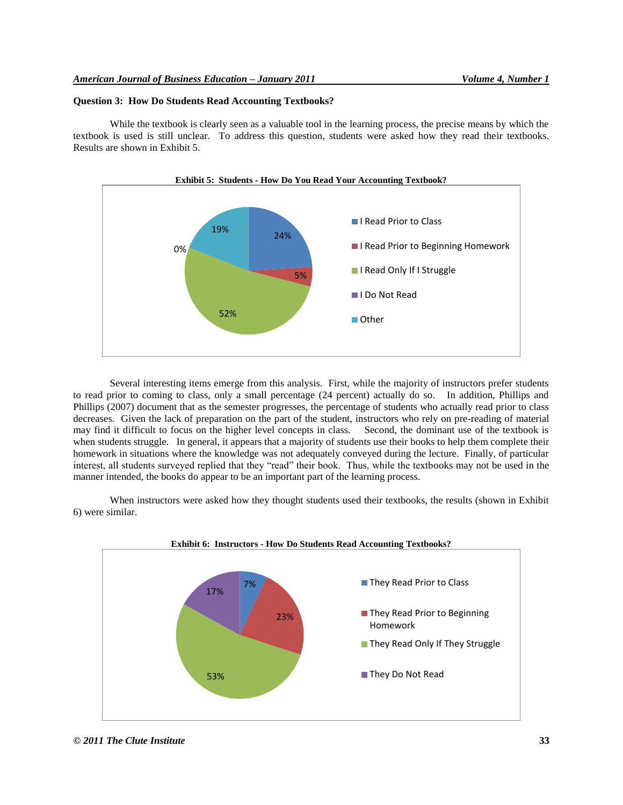## **Question 3: How Do Students Read Accounting Textbooks?**

While the textbook is clearly seen as a valuable tool in the learning process, the precise means by which the textbook is used is still unclear. To address this question, students were asked how they read their textbooks. Results are shown in Exhibit 5.



Several interesting items emerge from this analysis. First, while the majority of instructors prefer students to read prior to coming to class, only a small percentage (24 percent) actually do so. In addition, Phillips and Phillips (2007) document that as the semester progresses, the percentage of students who actually read prior to class decreases. Given the lack of preparation on the part of the student, instructors who rely on pre-reading of material may find it difficult to focus on the higher level concepts in class. Second, the dominant use of the textbook is when students struggle. In general, it appears that a majority of students use their books to help them complete their homework in situations where the knowledge was not adequately conveyed during the lecture. Finally, of particular interest, all students surveyed replied that they "read" their book. Thus, while the textbooks may not be used in the manner intended, the books do appear to be an important part of the learning process.

When instructors were asked how they thought students used their textbooks, the results (shown in Exhibit 6) were similar.



*© 2011 The Clute Institute* **33**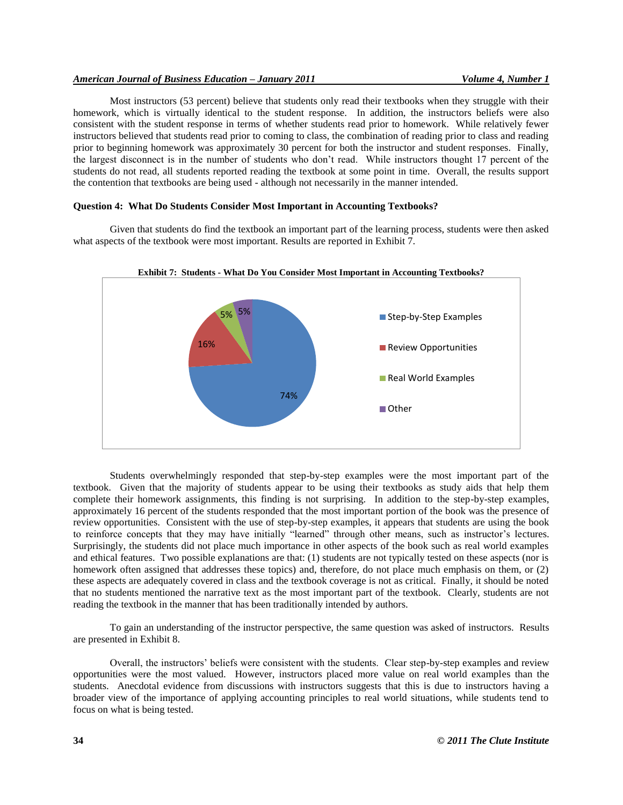## *American Journal of Business Education – January 2011 Volume 4, Number 1*

Most instructors (53 percent) believe that students only read their textbooks when they struggle with their homework, which is virtually identical to the student response. In addition, the instructors beliefs were also consistent with the student response in terms of whether students read prior to homework. While relatively fewer instructors believed that students read prior to coming to class, the combination of reading prior to class and reading prior to beginning homework was approximately 30 percent for both the instructor and student responses. Finally, the largest disconnect is in the number of students who don't read. While instructors thought 17 percent of the students do not read, all students reported reading the textbook at some point in time. Overall, the results support the contention that textbooks are being used - although not necessarily in the manner intended.

# **Question 4: What Do Students Consider Most Important in Accounting Textbooks?**

Given that students do find the textbook an important part of the learning process, students were then asked what aspects of the textbook were most important. Results are reported in Exhibit 7.





Students overwhelmingly responded that step-by-step examples were the most important part of the textbook. Given that the majority of students appear to be using their textbooks as study aids that help them complete their homework assignments, this finding is not surprising. In addition to the step-by-step examples, approximately 16 percent of the students responded that the most important portion of the book was the presence of review opportunities. Consistent with the use of step-by-step examples, it appears that students are using the book to reinforce concepts that they may have initially "learned" through other means, such as instructor's lectures. Surprisingly, the students did not place much importance in other aspects of the book such as real world examples and ethical features. Two possible explanations are that: (1) students are not typically tested on these aspects (nor is homework often assigned that addresses these topics) and, therefore, do not place much emphasis on them, or (2) these aspects are adequately covered in class and the textbook coverage is not as critical. Finally, it should be noted that no students mentioned the narrative text as the most important part of the textbook. Clearly, students are not reading the textbook in the manner that has been traditionally intended by authors.

To gain an understanding of the instructor perspective, the same question was asked of instructors. Results are presented in Exhibit 8.

Overall, the instructors' beliefs were consistent with the students. Clear step-by-step examples and review opportunities were the most valued. However, instructors placed more value on real world examples than the students. Anecdotal evidence from discussions with instructors suggests that this is due to instructors having a broader view of the importance of applying accounting principles to real world situations, while students tend to focus on what is being tested.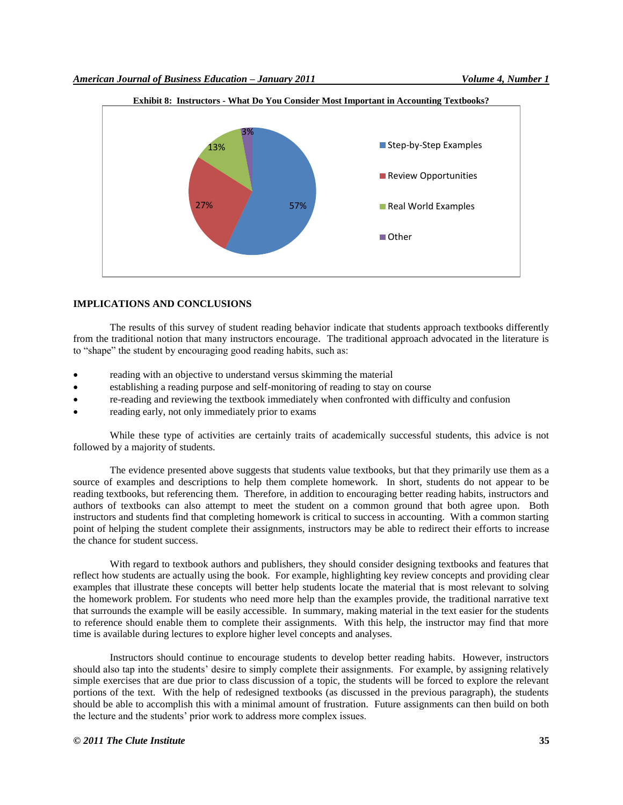

## **IMPLICATIONS AND CONCLUSIONS**

The results of this survey of student reading behavior indicate that students approach textbooks differently from the traditional notion that many instructors encourage. The traditional approach advocated in the literature is to "shape" the student by encouraging good reading habits, such as:

- reading with an objective to understand versus skimming the material
- establishing a reading purpose and self-monitoring of reading to stay on course
- re-reading and reviewing the textbook immediately when confronted with difficulty and confusion
- reading early, not only immediately prior to exams

While these type of activities are certainly traits of academically successful students, this advice is not followed by a majority of students.

The evidence presented above suggests that students value textbooks, but that they primarily use them as a source of examples and descriptions to help them complete homework. In short, students do not appear to be reading textbooks, but referencing them. Therefore, in addition to encouraging better reading habits, instructors and authors of textbooks can also attempt to meet the student on a common ground that both agree upon. Both instructors and students find that completing homework is critical to success in accounting. With a common starting point of helping the student complete their assignments, instructors may be able to redirect their efforts to increase the chance for student success.

With regard to textbook authors and publishers, they should consider designing textbooks and features that reflect how students are actually using the book. For example, highlighting key review concepts and providing clear examples that illustrate these concepts will better help students locate the material that is most relevant to solving the homework problem. For students who need more help than the examples provide, the traditional narrative text that surrounds the example will be easily accessible. In summary, making material in the text easier for the students to reference should enable them to complete their assignments. With this help, the instructor may find that more time is available during lectures to explore higher level concepts and analyses.

Instructors should continue to encourage students to develop better reading habits. However, instructors should also tap into the students' desire to simply complete their assignments. For example, by assigning relatively simple exercises that are due prior to class discussion of a topic, the students will be forced to explore the relevant portions of the text. With the help of redesigned textbooks (as discussed in the previous paragraph), the students should be able to accomplish this with a minimal amount of frustration. Future assignments can then build on both the lecture and the students' prior work to address more complex issues.

#### *© 2011 The Clute Institute* **35**